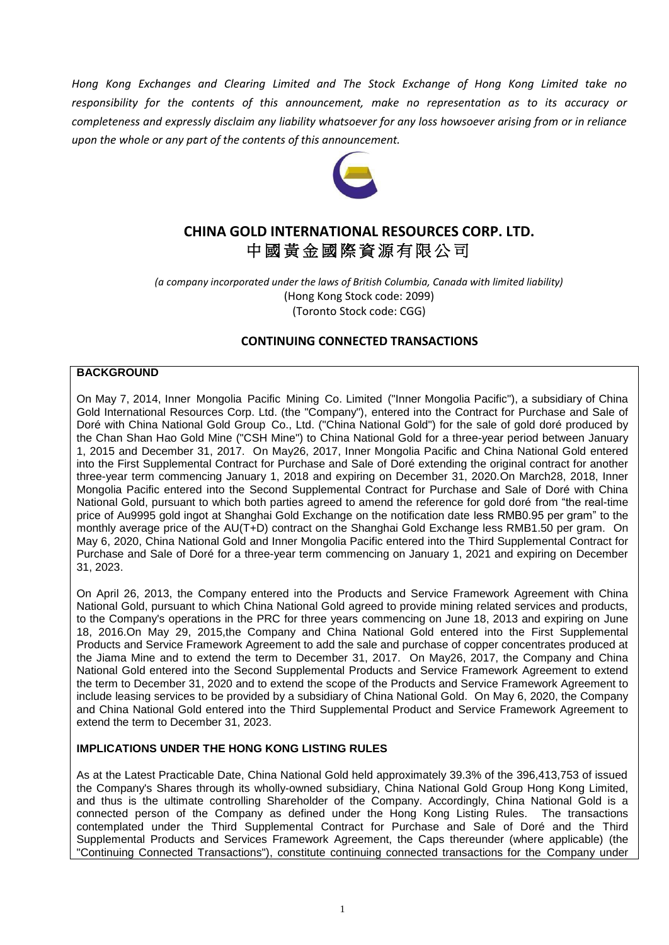*Hong Kong Exchanges and Clearing Limited and The Stock Exchange of Hong Kong Limited take no responsibility for the contents of this announcement, make no representation as to its accuracy or completeness and expressly disclaim any liability whatsoever for any loss howsoever arising from or in reliance upon the whole or any part of the contents of this announcement.*



# **CHINA GOLD INTERNATIONAL RESOURCES CORP. LTD.** 中 國 黃 金 國 際 資 源 有 限 公 司

*(a company incorporated under the laws of British Columbia, Canada with limited liability)* (Hong Kong Stock code: 2099) (Toronto Stock code: CGG)

# **CONTINUING CONNECTED TRANSACTIONS**

## **BACKGROUND**

On May 7, 2014, Inner Mongolia Pacific Mining Co. Limited ("Inner Mongolia Pacific"), a subsidiary of China Gold International Resources Corp. Ltd. (the "Company"), entered into the Contract for Purchase and Sale of Doré with China National Gold Group Co., Ltd. ("China National Gold") for the sale of gold doré produced by the Chan Shan Hao Gold Mine ("CSH Mine") to China National Gold for a three-year period between January 1, 2015 and December 31, 2017. On May26, 2017, Inner Mongolia Pacific and China National Gold entered into the First Supplemental Contract for Purchase and Sale of Doré extending the original contract for another three-year term commencing January 1, 2018 and expiring on December 31, 2020.On March28, 2018, Inner Mongolia Pacific entered into the Second Supplemental Contract for Purchase and Sale of Doré with China National Gold, pursuant to which both parties agreed to amend the reference for gold doré from "the real-time price of Au9995 gold ingot at Shanghai Gold Exchange on the notification date less RMB0.95 per gram" to the monthly average price of the AU(T+D) contract on the Shanghai Gold Exchange less RMB1.50 per gram. On May 6, 2020, China National Gold and Inner Mongolia Pacific entered into the Third Supplemental Contract for Purchase and Sale of Doré for a three-year term commencing on January 1, 2021 and expiring on December 31, 2023.

On April 26, 2013, the Company entered into the Products and Service Framework Agreement with China National Gold, pursuant to which China National Gold agreed to provide mining related services and products, to the Company's operations in the PRC for three years commencing on June 18, 2013 and expiring on June 18, 2016.On May 29, 2015,the Company and China National Gold entered into the First Supplemental Products and Service Framework Agreement to add the sale and purchase of copper concentrates produced at the Jiama Mine and to extend the term to December 31, 2017. On May26, 2017, the Company and China National Gold entered into the Second Supplemental Products and Service Framework Agreement to extend the term to December 31, 2020 and to extend the scope of the Products and Service Framework Agreement to include leasing services to be provided by a subsidiary of China National Gold. On May 6, 2020, the Company and China National Gold entered into the Third Supplemental Product and Service Framework Agreement to extend the term to December 31, 2023.

### **IMPLICATIONS UNDER THE HONG KONG LISTING RULES**

As at the Latest Practicable Date, China National Gold held approximately 39.3% of the 396,413,753 of issued the Company's Shares through its wholly-owned subsidiary, China National Gold Group Hong Kong Limited, and thus is the ultimate controlling Shareholder of the Company. Accordingly, China National Gold is a connected person of the Company as defined under the Hong Kong Listing Rules. The transactions contemplated under the Third Supplemental Contract for Purchase and Sale of Doré and the Third Supplemental Products and Services Framework Agreement, the Caps thereunder (where applicable) (the "Continuing Connected Transactions"), constitute continuing connected transactions for the Company under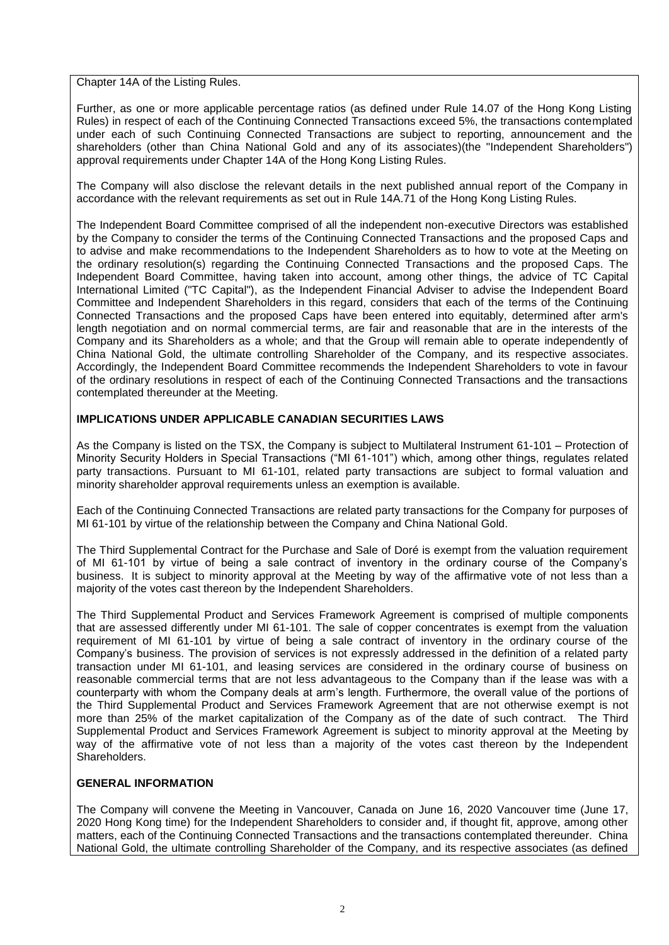Chapter 14A of the Listing Rules.

Further, as one or more applicable percentage ratios (as defined under Rule 14.07 of the Hong Kong Listing Rules) in respect of each of the Continuing Connected Transactions exceed 5%, the transactions contemplated under each of such Continuing Connected Transactions are subject to reporting, announcement and the shareholders (other than China National Gold and any of its associates)(the "Independent Shareholders") approval requirements under Chapter 14A of the Hong Kong Listing Rules.

The Company will also disclose the relevant details in the next published annual report of the Company in accordance with the relevant requirements as set out in Rule 14A.71 of the Hong Kong Listing Rules.

The Independent Board Committee comprised of all the independent non-executive Directors was established by the Company to consider the terms of the Continuing Connected Transactions and the proposed Caps and to advise and make recommendations to the Independent Shareholders as to how to vote at the Meeting on the ordinary resolution(s) regarding the Continuing Connected Transactions and the proposed Caps. The Independent Board Committee, having taken into account, among other things, the advice of TC Capital International Limited ("TC Capital"), as the Independent Financial Adviser to advise the Independent Board Committee and Independent Shareholders in this regard, considers that each of the terms of the Continuing Connected Transactions and the proposed Caps have been entered into equitably, determined after arm's length negotiation and on normal commercial terms, are fair and reasonable that are in the interests of the Company and its Shareholders as a whole; and that the Group will remain able to operate independently of China National Gold, the ultimate controlling Shareholder of the Company, and its respective associates. Accordingly, the Independent Board Committee recommends the Independent Shareholders to vote in favour of the ordinary resolutions in respect of each of the Continuing Connected Transactions and the transactions contemplated thereunder at the Meeting.

### **IMPLICATIONS UNDER APPLICABLE CANADIAN SECURITIES LAWS**

As the Company is listed on the TSX, the Company is subject to Multilateral Instrument 61-101 – Protection of Minority Security Holders in Special Transactions ("MI 61-101") which, among other things, regulates related party transactions. Pursuant to MI 61-101, related party transactions are subject to formal valuation and minority shareholder approval requirements unless an exemption is available.

Each of the Continuing Connected Transactions are related party transactions for the Company for purposes of MI 61-101 by virtue of the relationship between the Company and China National Gold.

The Third Supplemental Contract for the Purchase and Sale of Doré is exempt from the valuation requirement of MI 61-101 by virtue of being a sale contract of inventory in the ordinary course of the Company"s business. It is subject to minority approval at the Meeting by way of the affirmative vote of not less than a majority of the votes cast thereon by the Independent Shareholders.

The Third Supplemental Product and Services Framework Agreement is comprised of multiple components that are assessed differently under MI 61-101. The sale of copper concentrates is exempt from the valuation requirement of MI 61-101 by virtue of being a sale contract of inventory in the ordinary course of the Company"s business. The provision of services is not expressly addressed in the definition of a related party transaction under MI 61-101, and leasing services are considered in the ordinary course of business on reasonable commercial terms that are not less advantageous to the Company than if the lease was with a counterparty with whom the Company deals at arm"s length. Furthermore, the overall value of the portions of the Third Supplemental Product and Services Framework Agreement that are not otherwise exempt is not more than 25% of the market capitalization of the Company as of the date of such contract. The Third Supplemental Product and Services Framework Agreement is subject to minority approval at the Meeting by way of the affirmative vote of not less than a majority of the votes cast thereon by the Independent Shareholders.

### **GENERAL INFORMATION**

The Company will convene the Meeting in Vancouver, Canada on June 16, 2020 Vancouver time (June 17, 2020 Hong Kong time) for the Independent Shareholders to consider and, if thought fit, approve, among other matters, each of the Continuing Connected Transactions and the transactions contemplated thereunder. China National Gold, the ultimate controlling Shareholder of the Company, and its respective associates (as defined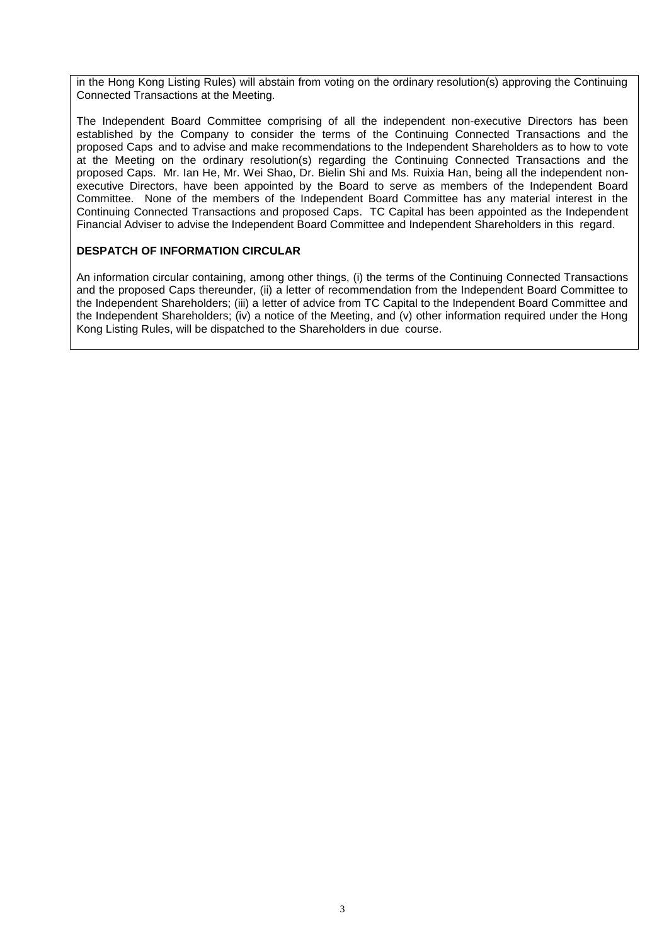in the Hong Kong Listing Rules) will abstain from voting on the ordinary resolution(s) approving the Continuing Connected Transactions at the Meeting.

The Independent Board Committee comprising of all the independent non-executive Directors has been established by the Company to consider the terms of the Continuing Connected Transactions and the proposed Caps and to advise and make recommendations to the Independent Shareholders as to how to vote at the Meeting on the ordinary resolution(s) regarding the Continuing Connected Transactions and the proposed Caps. Mr. Ian He, Mr. Wei Shao, Dr. Bielin Shi and Ms. Ruixia Han, being all the independent nonexecutive Directors, have been appointed by the Board to serve as members of the Independent Board Committee. None of the members of the Independent Board Committee has any material interest in the Continuing Connected Transactions and proposed Caps. TC Capital has been appointed as the Independent Financial Adviser to advise the Independent Board Committee and Independent Shareholders in this regard.

### **DESPATCH OF INFORMATION CIRCULAR**

An information circular containing, among other things, (i) the terms of the Continuing Connected Transactions and the proposed Caps thereunder, (ii) a letter of recommendation from the Independent Board Committee to the Independent Shareholders; (iii) a letter of advice from TC Capital to the Independent Board Committee and the Independent Shareholders; (iv) a notice of the Meeting, and (v) other information required under the Hong Kong Listing Rules, will be dispatched to the Shareholders in due course.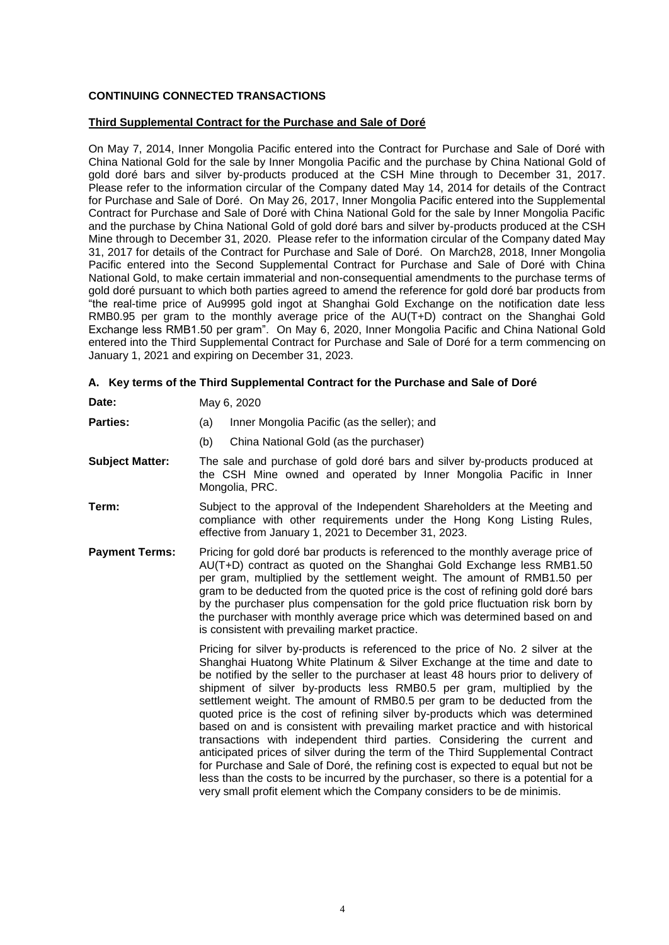## **CONTINUING CONNECTED TRANSACTIONS**

### **Third Supplemental Contract for the Purchase and Sale of Doré**

On May 7, 2014, Inner Mongolia Pacific entered into the Contract for Purchase and Sale of Doré with China National Gold for the sale by Inner Mongolia Pacific and the purchase by China National Gold of gold doré bars and silver by-products produced at the CSH Mine through to December 31, 2017. Please refer to the information circular of the Company dated May 14, 2014 for details of the Contract for Purchase and Sale of Doré. On May 26, 2017, Inner Mongolia Pacific entered into the Supplemental Contract for Purchase and Sale of Doré with China National Gold for the sale by Inner Mongolia Pacific and the purchase by China National Gold of gold doré bars and silver by-products produced at the CSH Mine through to December 31, 2020. Please refer to the information circular of the Company dated May 31, 2017 for details of the Contract for Purchase and Sale of Doré. On March28, 2018, Inner Mongolia Pacific entered into the Second Supplemental Contract for Purchase and Sale of Doré with China National Gold, to make certain immaterial and non-consequential amendments to the purchase terms of gold doré pursuant to which both parties agreed to amend the reference for gold doré bar products from "the real-time price of Au9995 gold ingot at Shanghai Gold Exchange on the notification date less RMB0.95 per gram to the monthly average price of the AU(T+D) contract on the Shanghai Gold Exchange less RMB1.50 per gram". On May 6, 2020, Inner Mongolia Pacific and China National Gold entered into the Third Supplemental Contract for Purchase and Sale of Doré for a term commencing on January 1, 2021 and expiring on December 31, 2023.

### **A. Key terms of the Third Supplemental Contract for the Purchase and Sale of Doré**

| Date: | May 6, 2020 |
|-------|-------------|
|-------|-------------|

| <b>Parties:</b> | Inner Mongolia Pacific (as the seller); and |
|-----------------|---------------------------------------------|
|                 |                                             |

- (b) China National Gold (as the purchaser)
- **Subject Matter:** The sale and purchase of gold doré bars and silver by-products produced at the CSH Mine owned and operated by Inner Mongolia Pacific in Inner Mongolia, PRC.
- **Term:** Subject to the approval of the Independent Shareholders at the Meeting and compliance with other requirements under the Hong Kong Listing Rules, effective from January 1, 2021 to December 31, 2023.
- Payment Terms: Pricing for gold doré bar products is referenced to the monthly average price of AU(T+D) contract as quoted on the Shanghai Gold Exchange less RMB1.50 per gram, multiplied by the settlement weight. The amount of RMB1.50 per gram to be deducted from the quoted price is the cost of refining gold doré bars by the purchaser plus compensation for the gold price fluctuation risk born by the purchaser with monthly average price which was determined based on and is consistent with prevailing market practice.

Pricing for silver by-products is referenced to the price of No. 2 silver at the Shanghai Huatong White Platinum & Silver Exchange at the time and date to be notified by the seller to the purchaser at least 48 hours prior to delivery of shipment of silver by-products less RMB0.5 per gram, multiplied by the settlement weight. The amount of RMB0.5 per gram to be deducted from the quoted price is the cost of refining silver by-products which was determined based on and is consistent with prevailing market practice and with historical transactions with independent third parties. Considering the current and anticipated prices of silver during the term of the Third Supplemental Contract for Purchase and Sale of Doré, the refining cost is expected to equal but not be less than the costs to be incurred by the purchaser, so there is a potential for a very small profit element which the Company considers to be de minimis.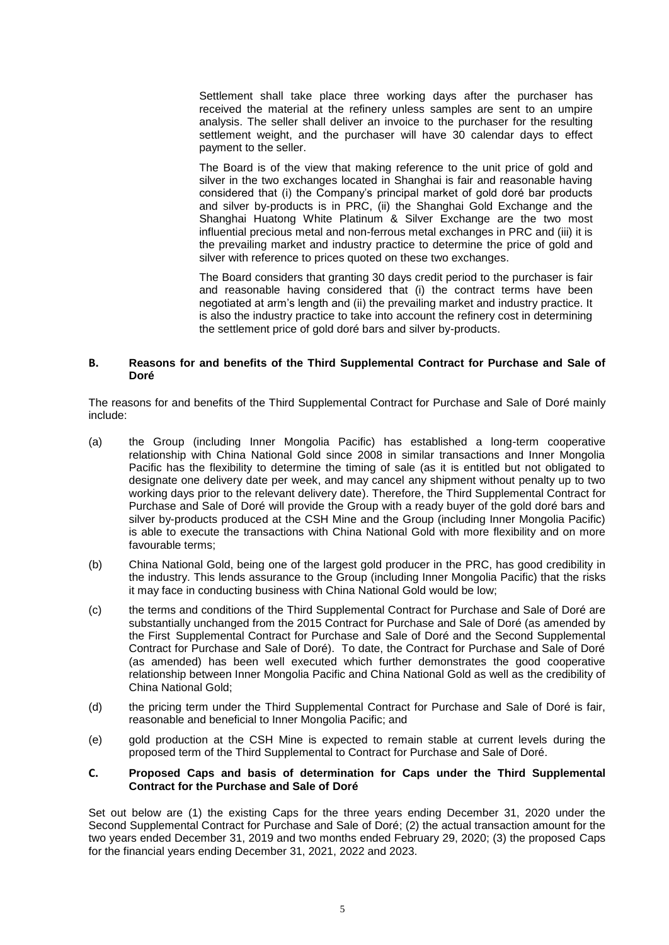Settlement shall take place three working days after the purchaser has received the material at the refinery unless samples are sent to an umpire analysis. The seller shall deliver an invoice to the purchaser for the resulting settlement weight, and the purchaser will have 30 calendar days to effect payment to the seller.

The Board is of the view that making reference to the unit price of gold and silver in the two exchanges located in Shanghai is fair and reasonable having considered that (i) the Company's principal market of gold doré bar products and silver by-products is in PRC, (ii) the Shanghai Gold Exchange and the Shanghai Huatong White Platinum & Silver Exchange are the two most influential precious metal and non-ferrous metal exchanges in PRC and (iii) it is the prevailing market and industry practice to determine the price of gold and silver with reference to prices quoted on these two exchanges.

The Board considers that granting 30 days credit period to the purchaser is fair and reasonable having considered that (i) the contract terms have been negotiated at arm"s length and (ii) the prevailing market and industry practice. It is also the industry practice to take into account the refinery cost in determining the settlement price of gold doré bars and silver by-products.

#### **B. Reasons for and benefits of the Third Supplemental Contract for Purchase and Sale of Doré**

The reasons for and benefits of the Third Supplemental Contract for Purchase and Sale of Doré mainly include:

- (a) the Group (including Inner Mongolia Pacific) has established a long-term cooperative relationship with China National Gold since 2008 in similar transactions and Inner Mongolia Pacific has the flexibility to determine the timing of sale (as it is entitled but not obligated to designate one delivery date per week, and may cancel any shipment without penalty up to two working days prior to the relevant delivery date). Therefore, the Third Supplemental Contract for Purchase and Sale of Doré will provide the Group with a ready buyer of the gold doré bars and silver by-products produced at the CSH Mine and the Group (including Inner Mongolia Pacific) is able to execute the transactions with China National Gold with more flexibility and on more favourable terms;
- (b) China National Gold, being one of the largest gold producer in the PRC, has good credibility in the industry. This lends assurance to the Group (including Inner Mongolia Pacific) that the risks it may face in conducting business with China National Gold would be low;
- (c) the terms and conditions of the Third Supplemental Contract for Purchase and Sale of Doré are substantially unchanged from the 2015 Contract for Purchase and Sale of Doré (as amended by the First Supplemental Contract for Purchase and Sale of Doré and the Second Supplemental Contract for Purchase and Sale of Doré). To date, the Contract for Purchase and Sale of Doré (as amended) has been well executed which further demonstrates the good cooperative relationship between Inner Mongolia Pacific and China National Gold as well as the credibility of China National Gold;
- (d) the pricing term under the Third Supplemental Contract for Purchase and Sale of Doré is fair, reasonable and beneficial to Inner Mongolia Pacific; and
- (e) gold production at the CSH Mine is expected to remain stable at current levels during the proposed term of the Third Supplemental to Contract for Purchase and Sale of Doré.

#### **C. Proposed Caps and basis of determination for Caps under the Third Supplemental Contract for the Purchase and Sale of Doré**

Set out below are (1) the existing Caps for the three years ending December 31, 2020 under the Second Supplemental Contract for Purchase and Sale of Doré; (2) the actual transaction amount for the two years ended December 31, 2019 and two months ended February 29, 2020; (3) the proposed Caps for the financial years ending December 31, 2021, 2022 and 2023.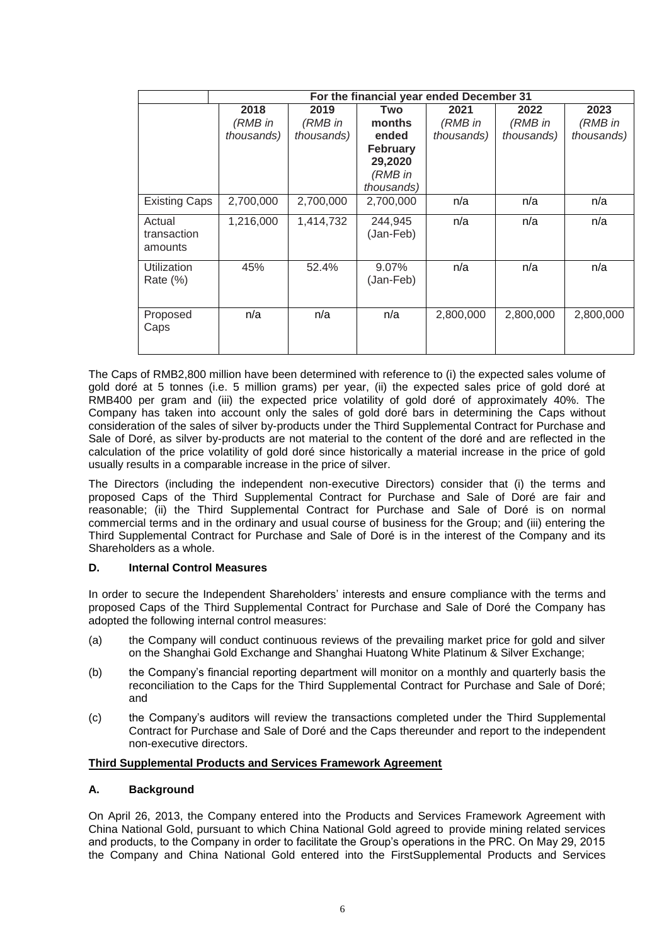|                      | For the financial year ended December 31 |            |                 |                    |            |            |
|----------------------|------------------------------------------|------------|-----------------|--------------------|------------|------------|
|                      | 2018                                     | 2019       | Two             | 2021               | 2022       | 2023       |
|                      | (RMB in                                  | (RMB in    | months          | (RMB in            | (RMB in    | (RMB in    |
|                      | thousands)                               | thousands) | ended           | <i>thousands</i> ) | thousands) | thousands) |
|                      |                                          |            | <b>February</b> |                    |            |            |
|                      |                                          |            | 29,2020         |                    |            |            |
|                      |                                          |            | (RMB in         |                    |            |            |
|                      |                                          |            | thousands)      |                    |            |            |
| <b>Existing Caps</b> | 2,700,000                                | 2,700,000  | 2,700,000       | n/a                | n/a        | n/a        |
| Actual               | 1,216,000                                | 1,414,732  | 244,945         | n/a                | n/a        | n/a        |
| transaction          |                                          |            | (Jan-Feb)       |                    |            |            |
| amounts              |                                          |            |                 |                    |            |            |
| <b>Utilization</b>   | 45%                                      | 52.4%      | 9.07%           | n/a                | n/a        | n/a        |
| Rate $(\%)$          |                                          |            | (Jan-Feb)       |                    |            |            |
|                      |                                          |            |                 |                    |            |            |
| Proposed             | n/a                                      | n/a        | n/a             | 2,800,000          | 2,800,000  | 2,800,000  |
| Caps                 |                                          |            |                 |                    |            |            |
|                      |                                          |            |                 |                    |            |            |
|                      |                                          |            |                 |                    |            |            |

The Caps of RMB2,800 million have been determined with reference to (i) the expected sales volume of gold doré at 5 tonnes (i.e. 5 million grams) per year, (ii) the expected sales price of gold doré at RMB400 per gram and (iii) the expected price volatility of gold doré of approximately 40%. The Company has taken into account only the sales of gold doré bars in determining the Caps without consideration of the sales of silver by-products under the Third Supplemental Contract for Purchase and Sale of Doré, as silver by-products are not material to the content of the doré and are reflected in the calculation of the price volatility of gold doré since historically a material increase in the price of gold usually results in a comparable increase in the price of silver.

The Directors (including the independent non-executive Directors) consider that (i) the terms and proposed Caps of the Third Supplemental Contract for Purchase and Sale of Doré are fair and reasonable; (ii) the Third Supplemental Contract for Purchase and Sale of Doré is on normal commercial terms and in the ordinary and usual course of business for the Group; and (iii) entering the Third Supplemental Contract for Purchase and Sale of Doré is in the interest of the Company and its Shareholders as a whole.

## **D. Internal Control Measures**

In order to secure the Independent Shareholders" interests and ensure compliance with the terms and proposed Caps of the Third Supplemental Contract for Purchase and Sale of Doré the Company has adopted the following internal control measures:

- (a) the Company will conduct continuous reviews of the prevailing market price for gold and silver on the Shanghai Gold Exchange and Shanghai Huatong White Platinum & Silver Exchange;
- (b) the Company"s financial reporting department will monitor on a monthly and quarterly basis the reconciliation to the Caps for the Third Supplemental Contract for Purchase and Sale of Doré; and
- (c) the Company"s auditors will review the transactions completed under the Third Supplemental Contract for Purchase and Sale of Doré and the Caps thereunder and report to the independent non-executive directors.

#### **Third Supplemental Products and Services Framework Agreement**

## **A. Background**

On April 26, 2013, the Company entered into the Products and Services Framework Agreement with China National Gold, pursuant to which China National Gold agreed to provide mining related services and products, to the Company in order to facilitate the Group"s operations in the PRC. On May 29, 2015 the Company and China National Gold entered into the FirstSupplemental Products and Services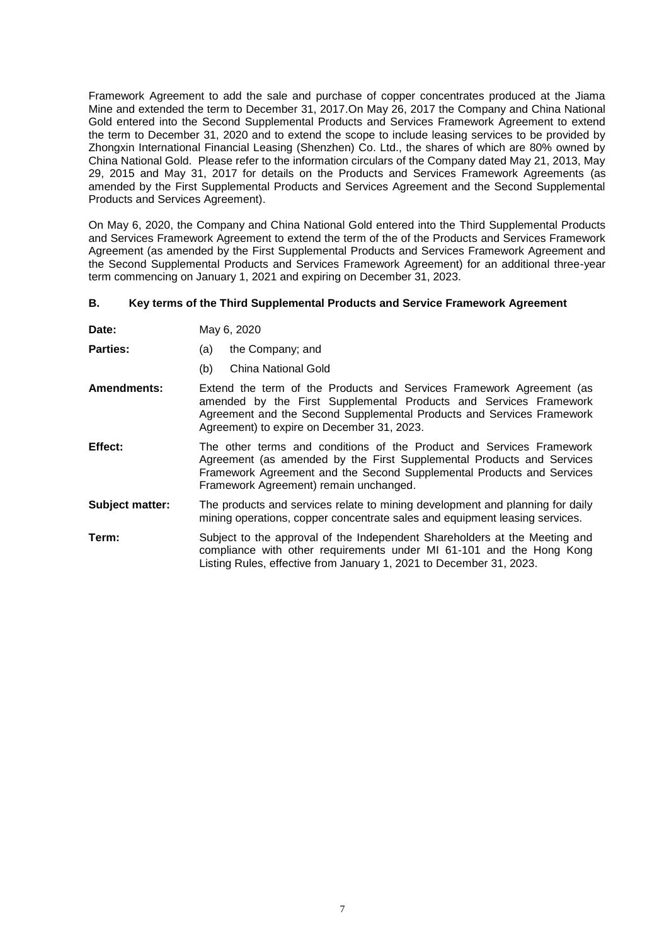Framework Agreement to add the sale and purchase of copper concentrates produced at the Jiama Mine and extended the term to December 31, 2017.On May 26, 2017 the Company and China National Gold entered into the Second Supplemental Products and Services Framework Agreement to extend the term to December 31, 2020 and to extend the scope to include leasing services to be provided by Zhongxin International Financial Leasing (Shenzhen) Co. Ltd., the shares of which are 80% owned by China National Gold. Please refer to the information circulars of the Company dated May 21, 2013, May 29, 2015 and May 31, 2017 for details on the Products and Services Framework Agreements (as amended by the First Supplemental Products and Services Agreement and the Second Supplemental Products and Services Agreement).

On May 6, 2020, the Company and China National Gold entered into the Third Supplemental Products and Services Framework Agreement to extend the term of the of the Products and Services Framework Agreement (as amended by the First Supplemental Products and Services Framework Agreement and the Second Supplemental Products and Services Framework Agreement) for an additional three-year term commencing on January 1, 2021 and expiring on December 31, 2023.

#### **B. Key terms of the Third Supplemental Products and Service Framework Agreement**

**Date:** May 6, 2020

**Parties:** (a) the Company; and

(b) China National Gold

- **Amendments:** Extend the term of the Products and Services Framework Agreement (as amended by the First Supplemental Products and Services Framework Agreement and the Second Supplemental Products and Services Framework Agreement) to expire on December 31, 2023.
- **Effect:** The other terms and conditions of the Product and Services Framework Agreement (as amended by the First Supplemental Products and Services Framework Agreement and the Second Supplemental Products and Services Framework Agreement) remain unchanged.
- **Subject matter:** The products and services relate to mining development and planning for daily mining operations, copper concentrate sales and equipment leasing services.
- **Term:** Subject to the approval of the Independent Shareholders at the Meeting and compliance with other requirements under MI 61-101 and the Hong Kong Listing Rules, effective from January 1, 2021 to December 31, 2023.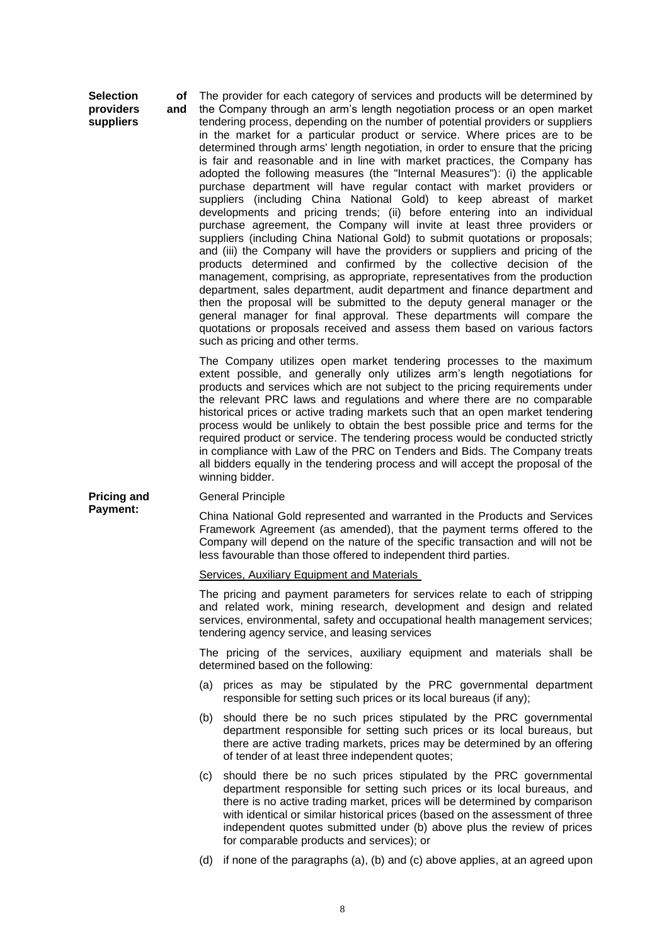| <b>Selection</b><br>providers<br>suppliers | οf<br>and                                                                                                                                                                                                                                                                                                  | The provider for each category of services and products will be determined by<br>the Company through an arm's length negotiation process or an open market<br>tendering process, depending on the number of potential providers or suppliers<br>in the market for a particular product or service. Where prices are to be<br>determined through arms' length negotiation, in order to ensure that the pricing<br>is fair and reasonable and in line with market practices, the Company has<br>adopted the following measures (the "Internal Measures"): (i) the applicable<br>purchase department will have regular contact with market providers or<br>suppliers (including China National Gold) to keep abreast of market<br>developments and pricing trends; (ii) before entering into an individual<br>purchase agreement, the Company will invite at least three providers or<br>suppliers (including China National Gold) to submit quotations or proposals;<br>and (iii) the Company will have the providers or suppliers and pricing of the<br>products determined and confirmed by the collective decision of the<br>management, comprising, as appropriate, representatives from the production<br>department, sales department, audit department and finance department and<br>then the proposal will be submitted to the deputy general manager or the |
|--------------------------------------------|------------------------------------------------------------------------------------------------------------------------------------------------------------------------------------------------------------------------------------------------------------------------------------------------------------|--------------------------------------------------------------------------------------------------------------------------------------------------------------------------------------------------------------------------------------------------------------------------------------------------------------------------------------------------------------------------------------------------------------------------------------------------------------------------------------------------------------------------------------------------------------------------------------------------------------------------------------------------------------------------------------------------------------------------------------------------------------------------------------------------------------------------------------------------------------------------------------------------------------------------------------------------------------------------------------------------------------------------------------------------------------------------------------------------------------------------------------------------------------------------------------------------------------------------------------------------------------------------------------------------------------------------------------------------------------------|
|                                            |                                                                                                                                                                                                                                                                                                            | general manager for final approval. These departments will compare the<br>quotations or proposals received and assess them based on various factors<br>such as pricing and other terms.                                                                                                                                                                                                                                                                                                                                                                                                                                                                                                                                                                                                                                                                                                                                                                                                                                                                                                                                                                                                                                                                                                                                                                            |
|                                            |                                                                                                                                                                                                                                                                                                            | The Company utilizes open market tendering processes to the maximum<br>extent possible, and generally only utilizes arm's length negotiations for<br>products and services which are not subject to the pricing requirements under<br>the relevant PRC laws and regulations and where there are no comparable<br>historical prices or active trading markets such that an open market tendering<br>process would be unlikely to obtain the best possible price and terms for the<br>required product or service. The tendering process would be conducted strictly<br>in compliance with Law of the PRC on Tenders and Bids. The Company treats<br>all bidders equally in the tendering process and will accept the proposal of the<br>winning bidder.                                                                                                                                                                                                                                                                                                                                                                                                                                                                                                                                                                                                             |
| <b>Pricing and</b>                         |                                                                                                                                                                                                                                                                                                            | <b>General Principle</b>                                                                                                                                                                                                                                                                                                                                                                                                                                                                                                                                                                                                                                                                                                                                                                                                                                                                                                                                                                                                                                                                                                                                                                                                                                                                                                                                           |
| Payment:                                   | China National Gold represented and warranted in the Products and Services<br>Framework Agreement (as amended), that the payment terms offered to the<br>Company will depend on the nature of the specific transaction and will not be<br>less favourable than those offered to independent third parties. |                                                                                                                                                                                                                                                                                                                                                                                                                                                                                                                                                                                                                                                                                                                                                                                                                                                                                                                                                                                                                                                                                                                                                                                                                                                                                                                                                                    |
|                                            |                                                                                                                                                                                                                                                                                                            | <b>Services, Auxiliary Equipment and Materials</b>                                                                                                                                                                                                                                                                                                                                                                                                                                                                                                                                                                                                                                                                                                                                                                                                                                                                                                                                                                                                                                                                                                                                                                                                                                                                                                                 |
|                                            |                                                                                                                                                                                                                                                                                                            | The pricing and payment parameters for services relate to each of stripping<br>and related work, mining research, development and design and related<br>services, environmental, safety and occupational health management services;<br>tendering agency service, and leasing services                                                                                                                                                                                                                                                                                                                                                                                                                                                                                                                                                                                                                                                                                                                                                                                                                                                                                                                                                                                                                                                                             |
|                                            |                                                                                                                                                                                                                                                                                                            | The pricing of the services, auxiliary equipment and materials shall be<br>determined based on the following:                                                                                                                                                                                                                                                                                                                                                                                                                                                                                                                                                                                                                                                                                                                                                                                                                                                                                                                                                                                                                                                                                                                                                                                                                                                      |
|                                            |                                                                                                                                                                                                                                                                                                            | prices as may be stipulated by the PRC governmental department<br>(a)<br>responsible for setting such prices or its local bureaus (if any);                                                                                                                                                                                                                                                                                                                                                                                                                                                                                                                                                                                                                                                                                                                                                                                                                                                                                                                                                                                                                                                                                                                                                                                                                        |
|                                            | should there be no such prices stipulated by the PRC governmental<br>(b)<br>department responsible for setting such prices or its local bureaus, but<br>there are active trading markets, prices may be determined by an offering<br>of tender of at least three independent quotes;                       |                                                                                                                                                                                                                                                                                                                                                                                                                                                                                                                                                                                                                                                                                                                                                                                                                                                                                                                                                                                                                                                                                                                                                                                                                                                                                                                                                                    |
|                                            |                                                                                                                                                                                                                                                                                                            | should there be no such prices stipulated by the PRC governmental<br>(c)<br>department responsible for setting such prices or its local bureaus, and<br>there is no active trading market, prices will be determined by comparison<br>with identical or similar historical prices (based on the assessment of three<br>independent quotes submitted under (b) above plus the review of prices<br>for comparable products and services); or                                                                                                                                                                                                                                                                                                                                                                                                                                                                                                                                                                                                                                                                                                                                                                                                                                                                                                                         |
|                                            |                                                                                                                                                                                                                                                                                                            | if none of the paragraphs (a), (b) and (c) above applies, at an agreed upon<br>(d)                                                                                                                                                                                                                                                                                                                                                                                                                                                                                                                                                                                                                                                                                                                                                                                                                                                                                                                                                                                                                                                                                                                                                                                                                                                                                 |

8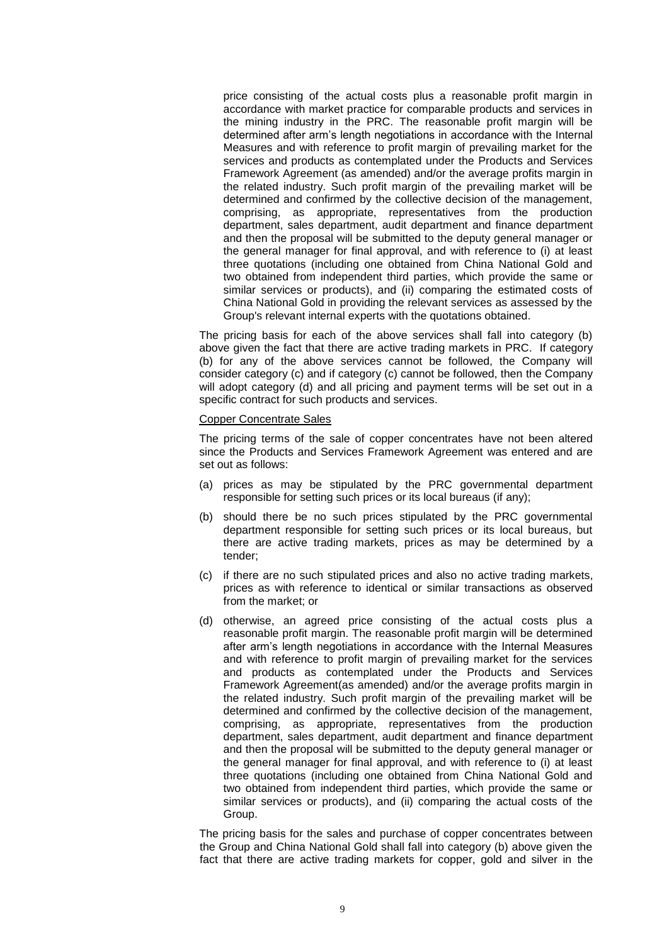price consisting of the actual costs plus a reasonable profit margin in accordance with market practice for comparable products and services in the mining industry in the PRC. The reasonable profit margin will be determined after arm"s length negotiations in accordance with the Internal Measures and with reference to profit margin of prevailing market for the services and products as contemplated under the Products and Services Framework Agreement (as amended) and/or the average profits margin in the related industry. Such profit margin of the prevailing market will be determined and confirmed by the collective decision of the management, comprising, as appropriate, representatives from the production department, sales department, audit department and finance department and then the proposal will be submitted to the deputy general manager or the general manager for final approval, and with reference to (i) at least three quotations (including one obtained from China National Gold and two obtained from independent third parties, which provide the same or similar services or products), and (ii) comparing the estimated costs of China National Gold in providing the relevant services as assessed by the Group's relevant internal experts with the quotations obtained.

The pricing basis for each of the above services shall fall into category (b) above given the fact that there are active trading markets in PRC. If category (b) for any of the above services cannot be followed, the Company will consider category (c) and if category (c) cannot be followed, then the Company will adopt category (d) and all pricing and payment terms will be set out in a specific contract for such products and services.

#### Copper Concentrate Sales

The pricing terms of the sale of copper concentrates have not been altered since the Products and Services Framework Agreement was entered and are set out as follows:

- (a) prices as may be stipulated by the PRC governmental department responsible for setting such prices or its local bureaus (if any);
- (b) should there be no such prices stipulated by the PRC governmental department responsible for setting such prices or its local bureaus, but there are active trading markets, prices as may be determined by a tender;
- (c) if there are no such stipulated prices and also no active trading markets, prices as with reference to identical or similar transactions as observed from the market; or
- (d) otherwise, an agreed price consisting of the actual costs plus a reasonable profit margin. The reasonable profit margin will be determined after arm"s length negotiations in accordance with the Internal Measures and with reference to profit margin of prevailing market for the services and products as contemplated under the Products and Services Framework Agreement(as amended) and/or the average profits margin in the related industry. Such profit margin of the prevailing market will be determined and confirmed by the collective decision of the management, comprising, as appropriate, representatives from the production department, sales department, audit department and finance department and then the proposal will be submitted to the deputy general manager or the general manager for final approval, and with reference to (i) at least three quotations (including one obtained from China National Gold and two obtained from independent third parties, which provide the same or similar services or products), and (ii) comparing the actual costs of the Group.

The pricing basis for the sales and purchase of copper concentrates between the Group and China National Gold shall fall into category (b) above given the fact that there are active trading markets for copper, gold and silver in the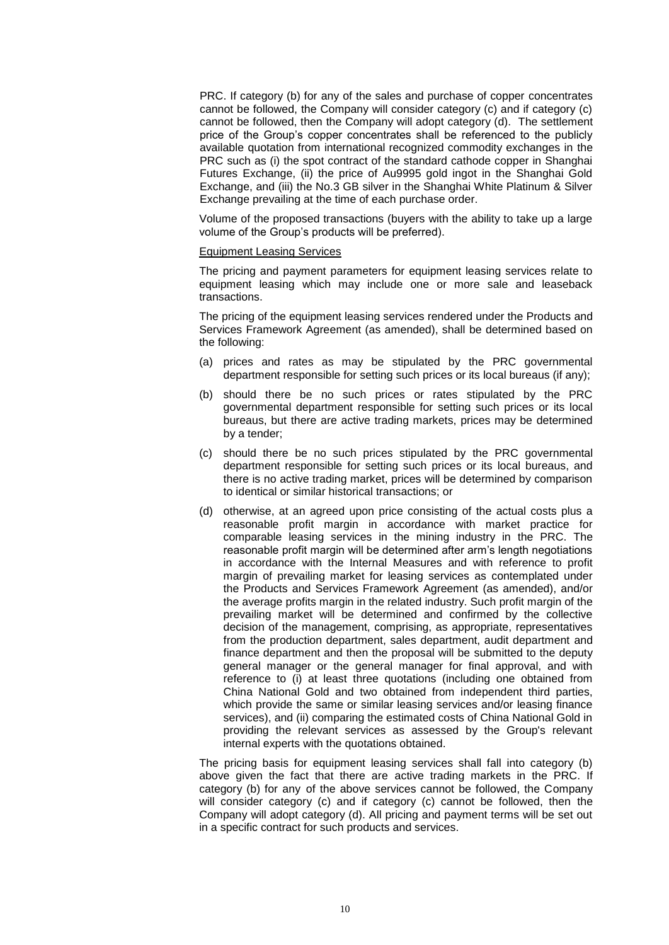PRC. If category (b) for any of the sales and purchase of copper concentrates cannot be followed, the Company will consider category (c) and if category (c) cannot be followed, then the Company will adopt category (d). The settlement price of the Group"s copper concentrates shall be referenced to the publicly available quotation from international recognized commodity exchanges in the PRC such as (i) the spot contract of the standard cathode copper in Shanghai Futures Exchange, (ii) the price of Au9995 gold ingot in the Shanghai Gold Exchange, and (iii) the No.3 GB silver in the Shanghai White Platinum & Silver Exchange prevailing at the time of each purchase order.

Volume of the proposed transactions (buyers with the ability to take up a large volume of the Group"s products will be preferred).

#### Equipment Leasing Services

The pricing and payment parameters for equipment leasing services relate to equipment leasing which may include one or more sale and leaseback transactions.

The pricing of the equipment leasing services rendered under the Products and Services Framework Agreement (as amended), shall be determined based on the following:

- (a) prices and rates as may be stipulated by the PRC governmental department responsible for setting such prices or its local bureaus (if any);
- (b) should there be no such prices or rates stipulated by the PRC governmental department responsible for setting such prices or its local bureaus, but there are active trading markets, prices may be determined by a tender;
- (c) should there be no such prices stipulated by the PRC governmental department responsible for setting such prices or its local bureaus, and there is no active trading market, prices will be determined by comparison to identical or similar historical transactions; or
- (d) otherwise, at an agreed upon price consisting of the actual costs plus a reasonable profit margin in accordance with market practice for comparable leasing services in the mining industry in the PRC. The reasonable profit margin will be determined after arm"s length negotiations in accordance with the Internal Measures and with reference to profit margin of prevailing market for leasing services as contemplated under the Products and Services Framework Agreement (as amended), and/or the average profits margin in the related industry. Such profit margin of the prevailing market will be determined and confirmed by the collective decision of the management, comprising, as appropriate, representatives from the production department, sales department, audit department and finance department and then the proposal will be submitted to the deputy general manager or the general manager for final approval, and with reference to (i) at least three quotations (including one obtained from China National Gold and two obtained from independent third parties, which provide the same or similar leasing services and/or leasing finance services), and (ii) comparing the estimated costs of China National Gold in providing the relevant services as assessed by the Group's relevant internal experts with the quotations obtained.

The pricing basis for equipment leasing services shall fall into category (b) above given the fact that there are active trading markets in the PRC. If category (b) for any of the above services cannot be followed, the Company will consider category (c) and if category (c) cannot be followed, then the Company will adopt category (d). All pricing and payment terms will be set out in a specific contract for such products and services.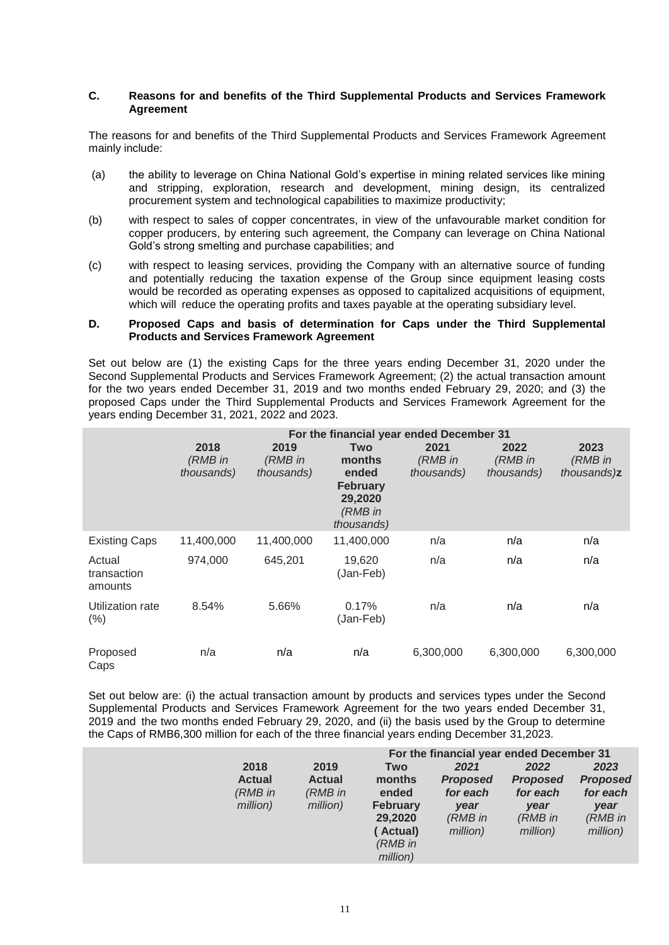#### **C. Reasons for and benefits of the Third Supplemental Products and Services Framework Agreement**

The reasons for and benefits of the Third Supplemental Products and Services Framework Agreement mainly include:

- (a) the ability to leverage on China National Gold"s expertise in mining related services like mining and stripping, exploration, research and development, mining design, its centralized procurement system and technological capabilities to maximize productivity;
- (b) with respect to sales of copper concentrates, in view of the unfavourable market condition for copper producers, by entering such agreement, the Company can leverage on China National Gold"s strong smelting and purchase capabilities; and
- (c) with respect to leasing services, providing the Company with an alternative source of funding and potentially reducing the taxation expense of the Group since equipment leasing costs would be recorded as operating expenses as opposed to capitalized acquisitions of equipment, which will reduce the operating profits and taxes payable at the operating subsidiary level.

#### **D. Proposed Caps and basis of determination for Caps under the Third Supplemental Products and Services Framework Agreement**

Set out below are (1) the existing Caps for the three years ending December 31, 2020 under the Second Supplemental Products and Services Framework Agreement; (2) the actual transaction amount for the two years ended December 31, 2019 and two months ended February 29, 2020; and (3) the proposed Caps under the Third Supplemental Products and Services Framework Agreement for the years ending December 31, 2021, 2022 and 2023.

|                                  | For the financial year ended December 31 |                                       |                                                                                       |                                       |                                       |                                |
|----------------------------------|------------------------------------------|---------------------------------------|---------------------------------------------------------------------------------------|---------------------------------------|---------------------------------------|--------------------------------|
|                                  | 2018<br>(RMB in<br><i>thousands</i> )    | 2019<br>(RMB in<br><i>thousands</i> ) | Two<br>months<br>ended<br><b>February</b><br>29,2020<br>(RMB in<br><i>thousands</i> ) | 2021<br>(RMB in<br><i>thousands</i> ) | 2022<br>(RMB in<br><i>thousands</i> ) | 2023<br>(RMB in<br>thousands)z |
| <b>Existing Caps</b>             | 11,400,000                               | 11,400,000                            | 11,400,000                                                                            | n/a                                   | n/a                                   | n/a                            |
| Actual<br>transaction<br>amounts | 974,000                                  | 645,201                               | 19,620<br>(Jan-Feb)                                                                   | n/a                                   | n/a                                   | n/a                            |
| Utilization rate<br>(% )         | 8.54%                                    | 5.66%                                 | 0.17%<br>(Jan-Feb)                                                                    | n/a                                   | n/a                                   | n/a                            |
| Proposed<br>Caps                 | n/a                                      | n/a                                   | n/a                                                                                   | 6,300,000                             | 6,300,000                             | 6,300,000                      |

Set out below are: (i) the actual transaction amount by products and services types under the Second Supplemental Products and Services Framework Agreement for the two years ended December 31, 2019 and the two months ended February 29, 2020, and (ii) the basis used by the Group to determine the Caps of RMB6,300 million for each of the three financial years ending December 31,2023.

|                                              |                                              |                                                                                         | For the financial year ended December 31                           |                                                                    |                                                                    |
|----------------------------------------------|----------------------------------------------|-----------------------------------------------------------------------------------------|--------------------------------------------------------------------|--------------------------------------------------------------------|--------------------------------------------------------------------|
| 2018<br><b>Actual</b><br>(RMB in<br>million) | 2019<br><b>Actual</b><br>(RMB in<br>million) | Two<br>months<br>ended<br><b>February</b><br>29,2020<br>(Actual)<br>(RMB in<br>million) | 2021<br><b>Proposed</b><br>for each<br>year<br>(RMB in<br>million) | 2022<br><b>Proposed</b><br>for each<br>year<br>(RMB in<br>million) | 2023<br><b>Proposed</b><br>for each<br>year<br>(RMB in<br>million) |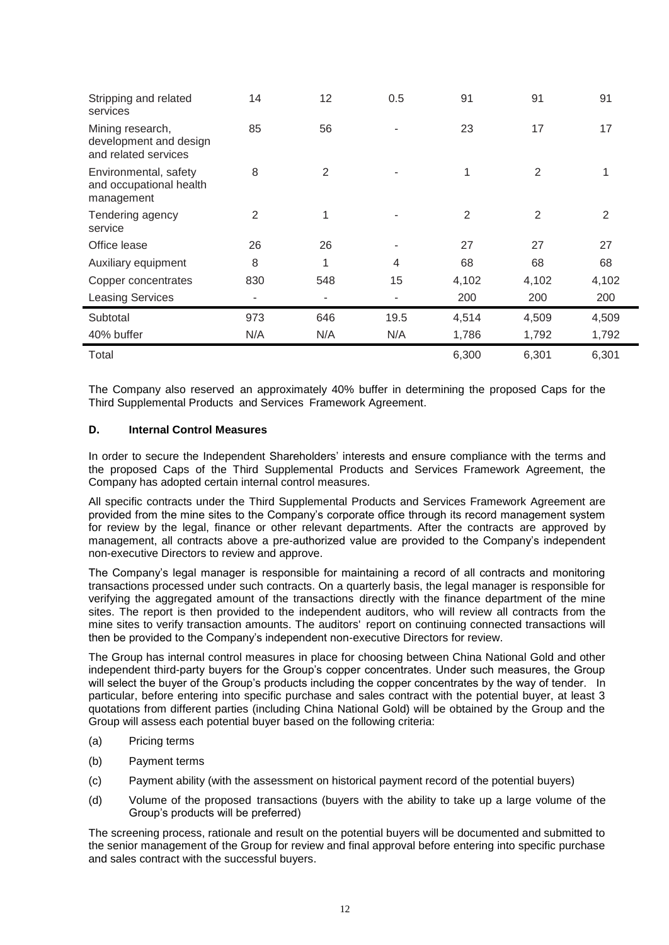| Stripping and related<br>services                                  | 14             | 12             | 0.5            | 91             | 91             | 91             |
|--------------------------------------------------------------------|----------------|----------------|----------------|----------------|----------------|----------------|
| Mining research,<br>development and design<br>and related services | 85             | 56             |                | 23             | 17             | 17             |
| Environmental, safety<br>and occupational health<br>management     | 8              | $\overline{2}$ |                | 1              | $\overline{2}$ | 1              |
| Tendering agency<br>service                                        | $\overline{2}$ | 1              |                | $\overline{2}$ | $\overline{2}$ | $\overline{2}$ |
| Office lease                                                       | 26             | 26             |                | 27             | 27             | 27             |
| Auxiliary equipment                                                | 8              | 1              | $\overline{4}$ | 68             | 68             | 68             |
| Copper concentrates                                                | 830            | 548            | 15             | 4,102          | 4,102          | 4,102          |
| <b>Leasing Services</b>                                            |                | ۰              |                | 200            | 200            | 200            |
| Subtotal                                                           | 973            | 646            | 19.5           | 4,514          | 4,509          | 4,509          |
| 40% buffer                                                         | N/A            | N/A            | N/A            | 1,786          | 1,792          | 1,792          |
| Total                                                              |                |                |                | 6,300          | 6,301          | 6,301          |

The Company also reserved an approximately 40% buffer in determining the proposed Caps for the Third Supplemental Products and Services Framework Agreement.

### **D. Internal Control Measures**

In order to secure the Independent Shareholders" interests and ensure compliance with the terms and the proposed Caps of the Third Supplemental Products and Services Framework Agreement, the Company has adopted certain internal control measures.

All specific contracts under the Third Supplemental Products and Services Framework Agreement are provided from the mine sites to the Company"s corporate office through its record management system for review by the legal, finance or other relevant departments. After the contracts are approved by management, all contracts above a pre-authorized value are provided to the Company"s independent non-executive Directors to review and approve.

The Company"s legal manager is responsible for maintaining a record of all contracts and monitoring transactions processed under such contracts. On a quarterly basis, the legal manager is responsible for verifying the aggregated amount of the transactions directly with the finance department of the mine sites. The report is then provided to the independent auditors, who will review all contracts from the mine sites to verify transaction amounts. The auditors' report on continuing connected transactions will then be provided to the Company"s independent non-executive Directors for review.

The Group has internal control measures in place for choosing between China National Gold and other independent third-party buyers for the Group"s copper concentrates. Under such measures, the Group will select the buyer of the Group's products including the copper concentrates by the way of tender. In particular, before entering into specific purchase and sales contract with the potential buyer, at least 3 quotations from different parties (including China National Gold) will be obtained by the Group and the Group will assess each potential buyer based on the following criteria:

- (a) Pricing terms
- (b) Payment terms
- (c) Payment ability (with the assessment on historical payment record of the potential buyers)
- (d) Volume of the proposed transactions (buyers with the ability to take up a large volume of the Group"s products will be preferred)

The screening process, rationale and result on the potential buyers will be documented and submitted to the senior management of the Group for review and final approval before entering into specific purchase and sales contract with the successful buyers.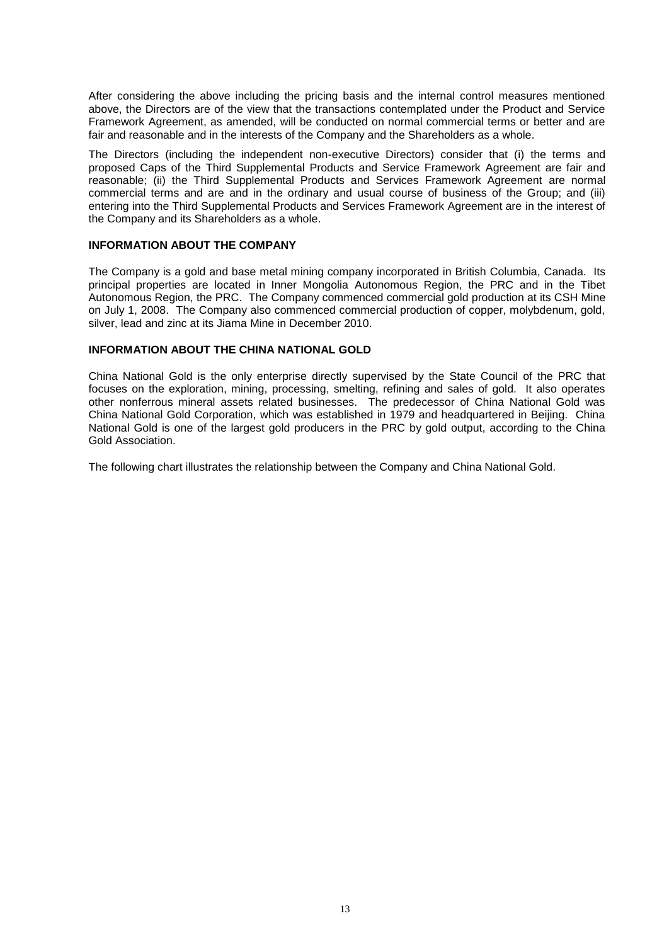After considering the above including the pricing basis and the internal control measures mentioned above, the Directors are of the view that the transactions contemplated under the Product and Service Framework Agreement, as amended, will be conducted on normal commercial terms or better and are fair and reasonable and in the interests of the Company and the Shareholders as a whole.

The Directors (including the independent non-executive Directors) consider that (i) the terms and proposed Caps of the Third Supplemental Products and Service Framework Agreement are fair and reasonable; (ii) the Third Supplemental Products and Services Framework Agreement are normal commercial terms and are and in the ordinary and usual course of business of the Group; and (iii) entering into the Third Supplemental Products and Services Framework Agreement are in the interest of the Company and its Shareholders as a whole.

#### **INFORMATION ABOUT THE COMPANY**

The Company is a gold and base metal mining company incorporated in British Columbia, Canada. Its principal properties are located in Inner Mongolia Autonomous Region, the PRC and in the Tibet Autonomous Region, the PRC. The Company commenced commercial gold production at its CSH Mine on July 1, 2008. The Company also commenced commercial production of copper, molybdenum, gold, silver, lead and zinc at its Jiama Mine in December 2010.

#### **INFORMATION ABOUT THE CHINA NATIONAL GOLD**

China National Gold is the only enterprise directly supervised by the State Council of the PRC that focuses on the exploration, mining, processing, smelting, refining and sales of gold. It also operates other nonferrous mineral assets related businesses. The predecessor of China National Gold was China National Gold Corporation, which was established in 1979 and headquartered in Beijing. China National Gold is one of the largest gold producers in the PRC by gold output, according to the China Gold Association.

The following chart illustrates the relationship between the Company and China National Gold.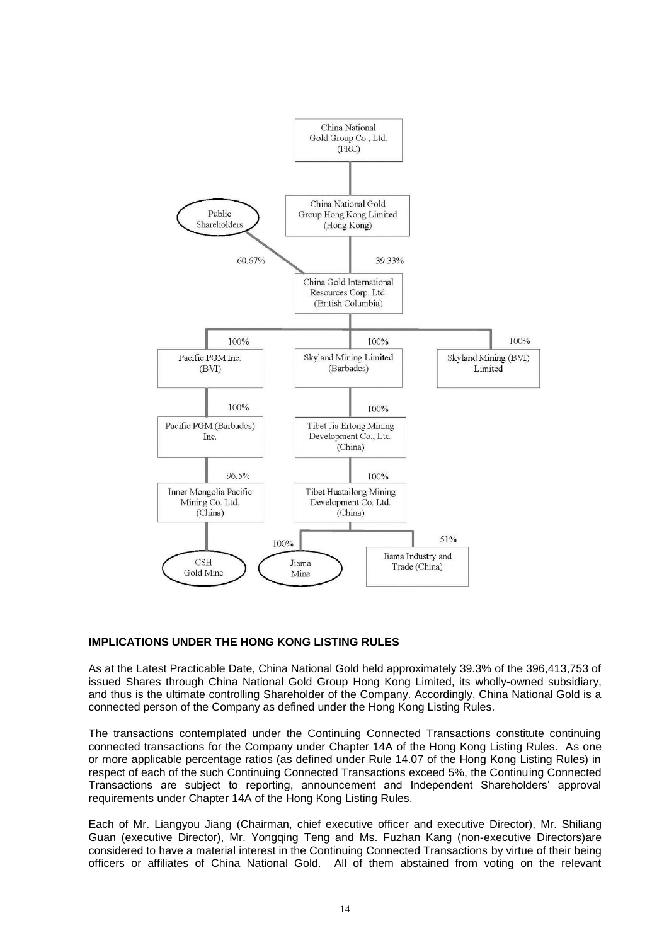

#### **IMPLICATIONS UNDER THE HONG KONG LISTING RULES**

As at the Latest Practicable Date, China National Gold held approximately 39.3% of the 396,413,753 of issued Shares through China National Gold Group Hong Kong Limited, its wholly-owned subsidiary, and thus is the ultimate controlling Shareholder of the Company. Accordingly, China National Gold is a connected person of the Company as defined under the Hong Kong Listing Rules.

The transactions contemplated under the Continuing Connected Transactions constitute continuing connected transactions for the Company under Chapter 14A of the Hong Kong Listing Rules. As one or more applicable percentage ratios (as defined under Rule 14.07 of the Hong Kong Listing Rules) in respect of each of the such Continuing Connected Transactions exceed 5%, the Continuing Connected Transactions are subject to reporting, announcement and Independent Shareholders" approval requirements under Chapter 14A of the Hong Kong Listing Rules.

Each of Mr. Liangyou Jiang (Chairman, chief executive officer and executive Director), Mr. Shiliang Guan (executive Director), Mr. Yongqing Teng and Ms. Fuzhan Kang (non-executive Directors)are considered to have a material interest in the Continuing Connected Transactions by virtue of their being officers or affiliates of China National Gold. All of them abstained from voting on the relevant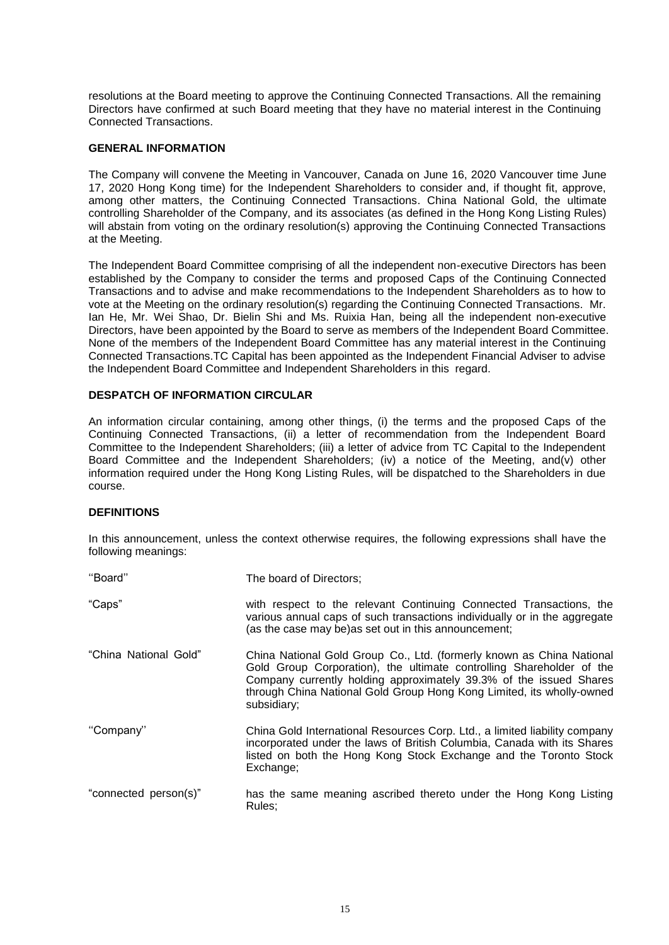resolutions at the Board meeting to approve the Continuing Connected Transactions. All the remaining Directors have confirmed at such Board meeting that they have no material interest in the Continuing Connected Transactions.

### **GENERAL INFORMATION**

The Company will convene the Meeting in Vancouver, Canada on June 16, 2020 Vancouver time June 17, 2020 Hong Kong time) for the Independent Shareholders to consider and, if thought fit, approve, among other matters, the Continuing Connected Transactions. China National Gold, the ultimate controlling Shareholder of the Company, and its associates (as defined in the Hong Kong Listing Rules) will abstain from voting on the ordinary resolution(s) approving the Continuing Connected Transactions at the Meeting.

The Independent Board Committee comprising of all the independent non-executive Directors has been established by the Company to consider the terms and proposed Caps of the Continuing Connected Transactions and to advise and make recommendations to the Independent Shareholders as to how to vote at the Meeting on the ordinary resolution(s) regarding the Continuing Connected Transactions. Mr. Ian He, Mr. Wei Shao, Dr. Bielin Shi and Ms. Ruixia Han, being all the independent non-executive Directors, have been appointed by the Board to serve as members of the Independent Board Committee. None of the members of the Independent Board Committee has any material interest in the Continuing Connected Transactions.TC Capital has been appointed as the Independent Financial Adviser to advise the Independent Board Committee and Independent Shareholders in this regard.

### **DESPATCH OF INFORMATION CIRCULAR**

An information circular containing, among other things, (i) the terms and the proposed Caps of the Continuing Connected Transactions, (ii) a letter of recommendation from the Independent Board Committee to the Independent Shareholders; (iii) a letter of advice from TC Capital to the Independent Board Committee and the Independent Shareholders; (iv) a notice of the Meeting, and(v) other information required under the Hong Kong Listing Rules, will be dispatched to the Shareholders in due course.

#### **DEFINITIONS**

In this announcement, unless the context otherwise requires, the following expressions shall have the following meanings:

| "Board"               | The board of Directors;                                                                                                                                                                                                                                                                                     |
|-----------------------|-------------------------------------------------------------------------------------------------------------------------------------------------------------------------------------------------------------------------------------------------------------------------------------------------------------|
| "Caps"                | with respect to the relevant Continuing Connected Transactions, the<br>various annual caps of such transactions individually or in the aggregate<br>(as the case may be)as set out in this announcement;                                                                                                    |
| "China National Gold" | China National Gold Group Co., Ltd. (formerly known as China National<br>Gold Group Corporation), the ultimate controlling Shareholder of the<br>Company currently holding approximately 39.3% of the issued Shares<br>through China National Gold Group Hong Kong Limited, its wholly-owned<br>subsidiary; |
| "Company"             | China Gold International Resources Corp. Ltd., a limited liability company<br>incorporated under the laws of British Columbia, Canada with its Shares<br>listed on both the Hong Kong Stock Exchange and the Toronto Stock<br>Exchange;                                                                     |
| "connected person(s)" | has the same meaning ascribed thereto under the Hong Kong Listing<br>Rules:                                                                                                                                                                                                                                 |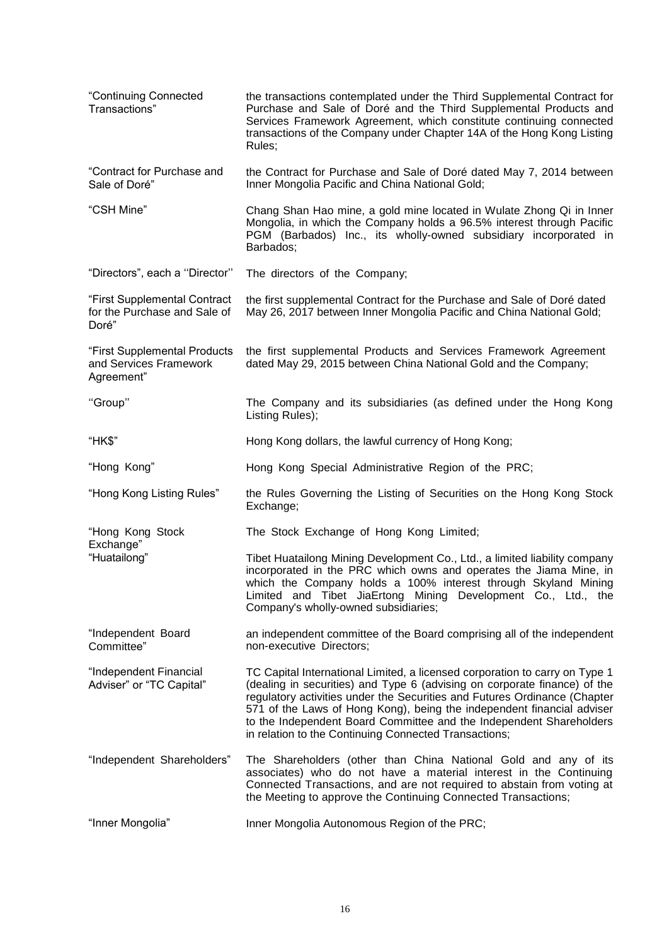| "Continuing Connected<br>Transactions"                                | the transactions contemplated under the Third Supplemental Contract for<br>Purchase and Sale of Doré and the Third Supplemental Products and<br>Services Framework Agreement, which constitute continuing connected<br>transactions of the Company under Chapter 14A of the Hong Kong Listing<br>Rules;                                                                                                                                         |
|-----------------------------------------------------------------------|-------------------------------------------------------------------------------------------------------------------------------------------------------------------------------------------------------------------------------------------------------------------------------------------------------------------------------------------------------------------------------------------------------------------------------------------------|
| "Contract for Purchase and<br>Sale of Doré"                           | the Contract for Purchase and Sale of Doré dated May 7, 2014 between<br>Inner Mongolia Pacific and China National Gold;                                                                                                                                                                                                                                                                                                                         |
| "CSH Mine"                                                            | Chang Shan Hao mine, a gold mine located in Wulate Zhong Qi in Inner<br>Mongolia, in which the Company holds a 96.5% interest through Pacific<br>PGM (Barbados) Inc., its wholly-owned subsidiary incorporated in<br>Barbados;                                                                                                                                                                                                                  |
| "Directors", each a "Director"                                        | The directors of the Company;                                                                                                                                                                                                                                                                                                                                                                                                                   |
| "First Supplemental Contract<br>for the Purchase and Sale of<br>Doré" | the first supplemental Contract for the Purchase and Sale of Doré dated<br>May 26, 2017 between Inner Mongolia Pacific and China National Gold;                                                                                                                                                                                                                                                                                                 |
| "First Supplemental Products<br>and Services Framework<br>Agreement"  | the first supplemental Products and Services Framework Agreement<br>dated May 29, 2015 between China National Gold and the Company;                                                                                                                                                                                                                                                                                                             |
| "Group"                                                               | The Company and its subsidiaries (as defined under the Hong Kong<br>Listing Rules);                                                                                                                                                                                                                                                                                                                                                             |
| "HK\$"                                                                | Hong Kong dollars, the lawful currency of Hong Kong;                                                                                                                                                                                                                                                                                                                                                                                            |
| "Hong Kong"                                                           | Hong Kong Special Administrative Region of the PRC;                                                                                                                                                                                                                                                                                                                                                                                             |
| "Hong Kong Listing Rules"                                             | the Rules Governing the Listing of Securities on the Hong Kong Stock<br>Exchange;                                                                                                                                                                                                                                                                                                                                                               |
| "Hong Kong Stock<br>Exchange"                                         | The Stock Exchange of Hong Kong Limited;                                                                                                                                                                                                                                                                                                                                                                                                        |
| "Huatailong"                                                          | Tibet Huatailong Mining Development Co., Ltd., a limited liability company<br>incorporated in the PRC which owns and operates the Jiama Mine, in<br>which the Company holds a 100% interest through Skyland Mining                                                                                                                                                                                                                              |
|                                                                       | Limited and Tibet JiaErtong Mining Development Co., Ltd., the<br>Company's wholly-owned subsidiaries;                                                                                                                                                                                                                                                                                                                                           |
| "Independent Board<br>Committee"                                      | an independent committee of the Board comprising all of the independent<br>non-executive Directors;                                                                                                                                                                                                                                                                                                                                             |
| "Independent Financial<br>Adviser" or "TC Capital"                    | TC Capital International Limited, a licensed corporation to carry on Type 1<br>(dealing in securities) and Type 6 (advising on corporate finance) of the<br>regulatory activities under the Securities and Futures Ordinance (Chapter<br>571 of the Laws of Hong Kong), being the independent financial adviser<br>to the Independent Board Committee and the Independent Shareholders<br>in relation to the Continuing Connected Transactions; |
| "Independent Shareholders"                                            | The Shareholders (other than China National Gold and any of its<br>associates) who do not have a material interest in the Continuing<br>Connected Transactions, and are not required to abstain from voting at<br>the Meeting to approve the Continuing Connected Transactions;                                                                                                                                                                 |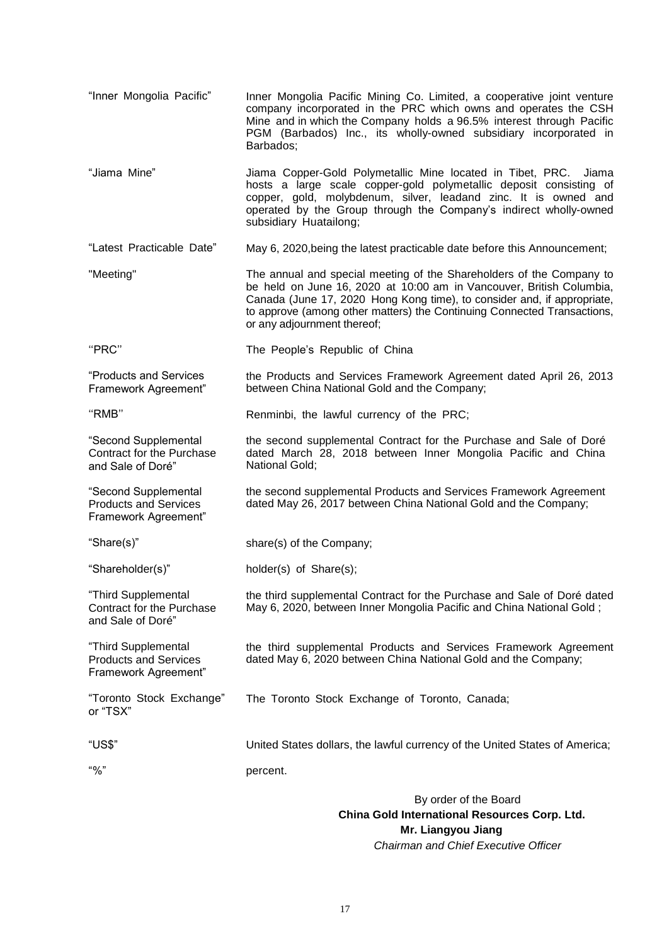| "Inner Mongolia Pacific"                                                      | Inner Mongolia Pacific Mining Co. Limited, a cooperative joint venture<br>company incorporated in the PRC which owns and operates the CSH<br>Mine and in which the Company holds a 96.5% interest through Pacific<br>PGM (Barbados) Inc., its wholly-owned subsidiary incorporated in<br>Barbados;                                |
|-------------------------------------------------------------------------------|-----------------------------------------------------------------------------------------------------------------------------------------------------------------------------------------------------------------------------------------------------------------------------------------------------------------------------------|
| "Jiama Mine"                                                                  | Jiama Copper-Gold Polymetallic Mine located in Tibet, PRC.<br>Jiama<br>hosts a large scale copper-gold polymetallic deposit consisting of<br>copper, gold, molybdenum, silver, leadand zinc. It is owned and<br>operated by the Group through the Company's indirect wholly-owned<br>subsidiary Huatailong;                       |
| "Latest Practicable Date"                                                     | May 6, 2020, being the latest practicable date before this Announcement;                                                                                                                                                                                                                                                          |
| "Meeting"                                                                     | The annual and special meeting of the Shareholders of the Company to<br>be held on June 16, 2020 at 10:00 am in Vancouver, British Columbia,<br>Canada (June 17, 2020 Hong Kong time), to consider and, if appropriate,<br>to approve (among other matters) the Continuing Connected Transactions,<br>or any adjournment thereof; |
| "PRC"                                                                         | The People's Republic of China                                                                                                                                                                                                                                                                                                    |
| "Products and Services"<br>Framework Agreement"                               | the Products and Services Framework Agreement dated April 26, 2013<br>between China National Gold and the Company;                                                                                                                                                                                                                |
| "RMB"                                                                         | Renminbi, the lawful currency of the PRC;                                                                                                                                                                                                                                                                                         |
| "Second Supplemental<br><b>Contract for the Purchase</b><br>and Sale of Doré" | the second supplemental Contract for the Purchase and Sale of Doré<br>dated March 28, 2018 between Inner Mongolia Pacific and China<br>National Gold;                                                                                                                                                                             |
| "Second Supplemental<br><b>Products and Services</b><br>Framework Agreement"  | the second supplemental Products and Services Framework Agreement<br>dated May 26, 2017 between China National Gold and the Company;                                                                                                                                                                                              |
| "Share(s)"                                                                    | share(s) of the Company;                                                                                                                                                                                                                                                                                                          |
| "Shareholder(s)"                                                              | holder(s) of Share(s);                                                                                                                                                                                                                                                                                                            |
| "Third Supplemental<br><b>Contract for the Purchase</b><br>and Sale of Doré"  | the third supplemental Contract for the Purchase and Sale of Doré dated<br>May 6, 2020, between Inner Mongolia Pacific and China National Gold;                                                                                                                                                                                   |
| "Third Supplemental<br><b>Products and Services</b><br>Framework Agreement"   | the third supplemental Products and Services Framework Agreement<br>dated May 6, 2020 between China National Gold and the Company;                                                                                                                                                                                                |
| "Toronto Stock Exchange"<br>or "TSX"                                          | The Toronto Stock Exchange of Toronto, Canada;                                                                                                                                                                                                                                                                                    |
| "US\$"                                                                        | United States dollars, the lawful currency of the United States of America;                                                                                                                                                                                                                                                       |
| 40/2                                                                          | percent.                                                                                                                                                                                                                                                                                                                          |
|                                                                               | By order of the Board<br>China Gold International Resources Corn Ltd                                                                                                                                                                                                                                                              |

**China Gold International Resources Corp. Ltd. Mr. Liangyou Jiang**

*Chairman and Chief Executive Officer*